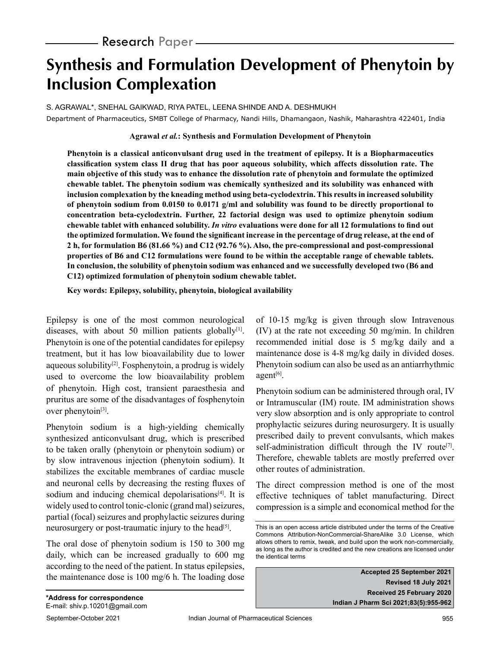# **Synthesis and Formulation Development of Phenytoin by Inclusion Complexation**

S. AGRAWAL\*, SNEHAL GAIKWAD, RIYA PATEL, LEENA SHINDE AND A. DESHMUKH Department of Pharmaceutics, SMBT College of Pharmacy, Nandi Hills, Dhamangaon, Nashik, Maharashtra 422401, India

## **Agrawal** *et al.***: Synthesis and Formulation Development of Phenytoin**

**Phenytoin is a classical anticonvulsant drug used in the treatment of epilepsy. It is a Biopharmaceutics classification system class II drug that has poor aqueous solubility, which affects dissolution rate. The main objective of this study was to enhance the dissolution rate of phenytoin and formulate the optimized chewable tablet. The phenytoin sodium was chemically synthesized and its solubility was enhanced with inclusion complexation by the kneading method using beta-cyclodextrin. This results in increased solubility of phenytoin sodium from 0.0150 to 0.0171 g/ml and solubility was found to be directly proportional to concentration beta-cyclodextrin. Further, 22 factorial design was used to optimize phenytoin sodium chewable tablet with enhanced solubility.** *In vitro* **evaluations were done for all 12 formulations to find out the optimized formulation. We found the significant increase in the percentage of drug release, at the end of 2 h, for formulation B6 (81.66 %) and C12 (92.76 %). Also, the pre-compressional and post-compressional properties of B6 and C12 formulations were found to be within the acceptable range of chewable tablets. In conclusion, the solubility of phenytoin sodium was enhanced and we successfully developed two (B6 and C12) optimized formulation of phenytoin sodium chewable tablet.**

**Key words: Epilepsy, solubility, phenytoin, biological availability**

Epilepsy is one of the most common neurological diseases, with about 50 million patients globally $[1]$ . Phenytoin is one of the potential candidates for epilepsy treatment, but it has low bioavailability due to lower aqueous solubility $[2]$ . Fosphenytoin, a prodrug is widely used to overcome the low bioavailability problem of phenytoin. High cost, transient paraesthesia and pruritus are some of the disadvantages of fosphenytoin over phenytoin $[3]$ .

Phenytoin sodium is a high-yielding chemically synthesized anticonvulsant drug, which is prescribed to be taken orally (phenytoin or phenytoin sodium) or by slow intravenous injection (phenytoin sodium). It stabilizes the excitable membranes of cardiac muscle and neuronal cells by decreasing the resting fluxes of sodium and inducing chemical depolarisations $[4]$ . It is widely used to control tonic-clonic (grand mal) seizures, partial (focal) seizures and prophylactic seizures during neurosurgery or post-traumatic injury to the head<sup>[5]</sup>.

The oral dose of phenytoin sodium is 150 to 300 mg daily, which can be increased gradually to 600 mg according to the need of the patient. In status epilepsies, the maintenance dose is 100 mg/6 h. The loading dose of 10-15 mg/kg is given through slow Intravenous (IV) at the rate not exceeding 50 mg/min. In children recommended initial dose is 5 mg/kg daily and a maintenance dose is 4-8 mg/kg daily in divided doses. Phenytoin sodium can also be used as an antiarrhythmic agent<sup>[6]</sup>.

Phenytoin sodium can be administered through oral, IV or Intramuscular (IM) route. IM administration shows very slow absorption and is only appropriate to control prophylactic seizures during neurosurgery. It is usually prescribed daily to prevent convulsants, which makes self-administration difficult through the IV route<sup>[7]</sup>. Therefore, chewable tablets are mostly preferred over other routes of administration.

The direct compression method is one of the most effective techniques of tablet manufacturing. Direct compression is a simple and economical method for the

**Accepted 25 September 2021 Revised 18 July 2021 Received 25 February 2020 Indian J Pharm Sci 2021;83(5):955-962**

This is an open access article distributed under the terms of the Creative Commons Attribution-NonCommercial-ShareAlike 3.0 License, which allows others to remix, tweak, and build upon the work non-commercially, as long as the author is credited and the new creations are licensed under the identical terms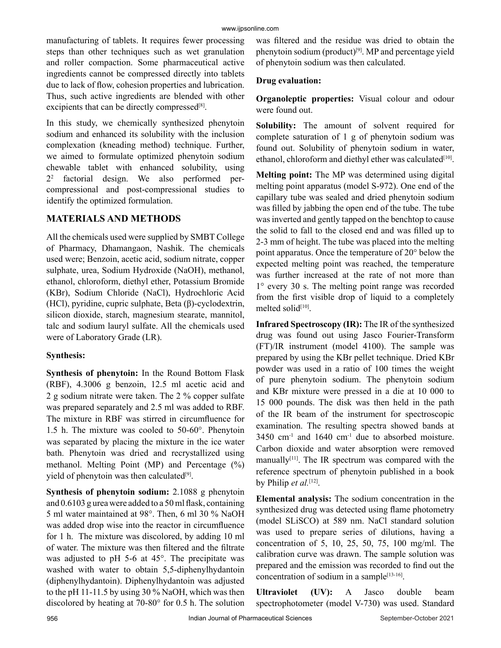manufacturing of tablets. It requires fewer processing steps than other techniques such as wet granulation and roller compaction. Some pharmaceutical active ingredients cannot be compressed directly into tablets due to lack of flow, cohesion properties and lubrication. Thus, such active ingredients are blended with other excipients that can be directly compressed<sup>[8]</sup>.

In this study, we chemically synthesized phenytoin sodium and enhanced its solubility with the inclusion complexation (kneading method) technique. Further, we aimed to formulate optimized phenytoin sodium chewable tablet with enhanced solubility, using  $2^2$  factorial design. We also performed percompressional and post-compressional studies to identify the optimized formulation.

# **MATERIALS AND METHODS**

All the chemicals used were supplied by SMBT College of Pharmacy, Dhamangaon, Nashik. The chemicals used were; Benzoin, acetic acid, sodium nitrate, copper sulphate, urea, Sodium Hydroxide (NaOH), methanol, ethanol, chloroform, diethyl ether, Potassium Bromide (KBr), Sodium Chloride (NaCl), Hydrochloric Acid (HCl), pyridine, cupric sulphate, Beta (β)-cyclodextrin, silicon dioxide, starch, magnesium stearate, mannitol, talc and sodium lauryl sulfate. All the chemicals used were of Laboratory Grade (LR).

# **Synthesis:**

**Synthesis of phenytoin:** In the Round Bottom Flask (RBF), 4.3006 g benzoin, 12.5 ml acetic acid and 2 g sodium nitrate were taken. The 2 % copper sulfate was prepared separately and 2.5 ml was added to RBF. The mixture in RBF was stirred in circumfluence for 1.5 h. The mixture was cooled to 50-60°. Phenytoin was separated by placing the mixture in the ice water bath. Phenytoin was dried and recrystallized using methanol. Melting Point (MP) and Percentage (%) yield of phenytoin was then calculated<sup>[9]</sup>.

**Synthesis of phenytoin sodium:** 2.1088 g phenytoin and 0.6103 g urea were added to a 50 ml flask, containing 5 ml water maintained at 98°. Then, 6 ml 30 % NaOH was added drop wise into the reactor in circumfluence for 1 h. The mixture was discolored, by adding 10 ml of water. The mixture was then filtered and the filtrate was adjusted to pH 5-6 at 45°. The precipitate was washed with water to obtain 5,5-diphenylhydantoin (diphenylhydantoin). Diphenylhydantoin was adjusted to the pH 11-11.5 by using 30 % NaOH, which was then discolored by heating at 70-80° for 0.5 h. The solution

was filtered and the residue was dried to obtain the phenytoin sodium (product)<sup>[9]</sup>. MP and percentage yield of phenytoin sodium was then calculated.

# **Drug evaluation:**

**Organoleptic properties:** Visual colour and odour were found out.

**Solubility:** The amount of solvent required for complete saturation of 1 g of phenytoin sodium was found out. Solubility of phenytoin sodium in water, ethanol, chloroform and diethyl ether was calculated<sup>[10]</sup>.

**Melting point:** The MP was determined using digital melting point apparatus (model S-972). One end of the capillary tube was sealed and dried phenytoin sodium was filled by jabbing the open end of the tube. The tube was inverted and gently tapped on the benchtop to cause the solid to fall to the closed end and was filled up to 2-3 mm of height. The tube was placed into the melting point apparatus. Once the temperature of 20° below the expected melting point was reached, the temperature was further increased at the rate of not more than 1° every 30 s. The melting point range was recorded from the first visible drop of liquid to a completely melted solid $[10]$ .

**Infrared Spectroscopy (IR):** The IR of the synthesized drug was found out using Jasco Fourier-Transform (FT)/IR instrument (model 4100). The sample was prepared by using the KBr pellet technique. Dried KBr powder was used in a ratio of 100 times the weight of pure phenytoin sodium. The phenytoin sodium and KBr mixture were pressed in a die at 10 000 to 15 000 pounds. The disk was then held in the path of the IR beam of the instrument for spectroscopic examination. The resulting spectra showed bands at  $3450$  cm<sup>-1</sup> and  $1640$  cm<sup>-1</sup> due to absorbed moisture. Carbon dioxide and water absorption were removed manually $[11]$ . The IR spectrum was compared with the reference spectrum of phenytoin published in a book by Philip *et al.*[12].

**Elemental analysis:** The sodium concentration in the synthesized drug was detected using flame photometry (model SLiSCO) at 589 nm. NaCl standard solution was used to prepare series of dilutions, having a concentration of 5, 10, 25, 50, 75, 100 mg/ml. The calibration curve was drawn. The sample solution was prepared and the emission was recorded to find out the concentration of sodium in a sample $[13-16]$ .

**Ultraviolet (UV):** A Jasco double beam spectrophotometer (model V-730) was used. Standard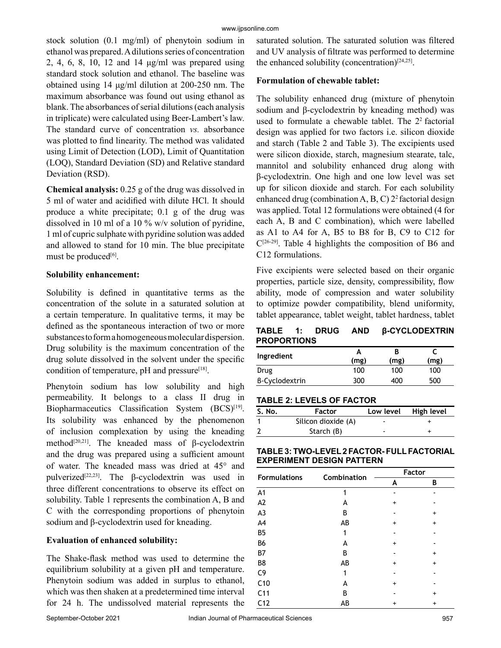stock solution (0.1 mg/ml) of phenytoin sodium in ethanol was prepared. A dilutions series of concentration 2, 4, 6, 8, 10, 12 and 14 μg/ml was prepared using standard stock solution and ethanol. The baseline was obtained using 14 μg/ml dilution at 200-250 nm. The maximum absorbance was found out using ethanol as blank. The absorbances of serial dilutions (each analysis in triplicate) were calculated using Beer-Lambert's law. The standard curve of concentration *vs.* absorbance was plotted to find linearity. The method was validated using Limit of Detection (LOD), Limit of Quantitation (LOQ), Standard Deviation (SD) and Relative standard Deviation (RSD).

**Chemical analysis:** 0.25 g of the drug was dissolved in 5 ml of water and acidified with dilute HCl. It should produce a white precipitate; 0.1 g of the drug was dissolved in 10 ml of a 10 % w/v solution of pyridine, 1 ml of cupric sulphate with pyridine solution was added and allowed to stand for 10 min. The blue precipitate must be produced<sup>[6]</sup>.

# **Solubility enhancement:**

Solubility is defined in quantitative terms as the concentration of the solute in a saturated solution at a certain temperature. In qualitative terms, it may be defined as the spontaneous interaction of two or more substances to form a homogeneous molecular dispersion. Drug solubility is the maximum concentration of the drug solute dissolved in the solvent under the specific condition of temperature,  $pH$  and pressure<sup>[18]</sup>.

Phenytoin sodium has low solubility and high permeability. It belongs to a class II drug in Biopharmaceutics Classification System (BCS)<sup>[19]</sup>. Its solubility was enhanced by the phenomenon of inclusion complexation by using the kneading method<sup>[20,21]</sup>. The kneaded mass of  $\beta$ -cyclodextrin and the drug was prepared using a sufficient amount of water. The kneaded mass was dried at 45° and pulverized[22,23]. The β-cyclodextrin was used in three different concentrations to observe its effect on solubility. Table 1 represents the combination A, B and C with the corresponding proportions of phenytoin sodium and β-cyclodextrin used for kneading.

# **Evaluation of enhanced solubility:**

The Shake-flask method was used to determine the equilibrium solubility at a given pH and temperature. Phenytoin sodium was added in surplus to ethanol, which was then shaken at a predetermined time interval for 24 h. The undissolved material represents the

saturated solution. The saturated solution was filtered and UV analysis of filtrate was performed to determine the enhanced solubility (concentration)<sup>[24,25]</sup>.

# **Formulation of chewable tablet:**

The solubility enhanced drug (mixture of phenytoin sodium and β-cyclodextrin by kneading method) was used to formulate a chewable tablet. The  $2<sup>2</sup>$  factorial design was applied for two factors i.e. silicon dioxide and starch (Table 2 and Table 3). The excipients used were silicon dioxide, starch, magnesium stearate, talc, mannitol and solubility enhanced drug along with β-cyclodextrin. One high and one low level was set up for silicon dioxide and starch. For each solubility enhanced drug (combination A, B, C)  $2^2$  factorial design was applied. Total 12 formulations were obtained (4 for each A, B and C combination), which were labelled as A1 to A4 for A, B5 to B8 for B, C9 to C12 for  $C^{[26-29]}$ . Table 4 highlights the composition of B6 and C12 formulations.

Five excipients were selected based on their organic properties, particle size, density, compressibility, flow ability, mode of compression and water solubility to optimize powder compatibility, blend uniformity, tablet appearance, tablet weight, tablet hardness, tablet

|                    |  | <b>TABLE 1: DRUG AND β-CYCLODEXTRIN</b> |
|--------------------|--|-----------------------------------------|
| <b>PROPORTIONS</b> |  |                                         |

| Ingredient     | А<br>(mg) | (mg) | (mg) |
|----------------|-----------|------|------|
| Drug           | 100       | 100  | 100  |
| B-Cyclodextrin | 300       | 400  | 500  |

# **TABLE 2: LEVELS OF FACTOR**

| S. No. | <b>Factor</b>       |                          | Low level High level |
|--------|---------------------|--------------------------|----------------------|
|        | Silicon dioxide (A) | $\overline{\phantom{a}}$ |                      |
|        | Starch (B)          | -                        |                      |

## **TABLE 3: TWO-LEVEL 2 FACTOR- FULL FACTORIAL EXPERIMENT DESIGN PATTERN**

|                     |             | Factor    |           |
|---------------------|-------------|-----------|-----------|
| <b>Formulations</b> | Combination | A         | В         |
| A1                  | 1           |           |           |
| A2                  | А           | $\ddot{}$ |           |
| A <sub>3</sub>      | В           |           | +         |
| A4                  | AB          | $\ddot{}$ | $\ddot{}$ |
| B <sub>5</sub>      | 1           |           |           |
| B <sub>6</sub>      | A           | +         |           |
| B7                  | В           |           | +         |
| B8                  | AB          | +         | $\ddot{}$ |
| C <sub>9</sub>      | 1           |           |           |
| C10                 | А           | +         |           |
| C <sub>11</sub>     | В           |           | +         |
| C <sub>12</sub>     | AB          | +         | $\ddot{}$ |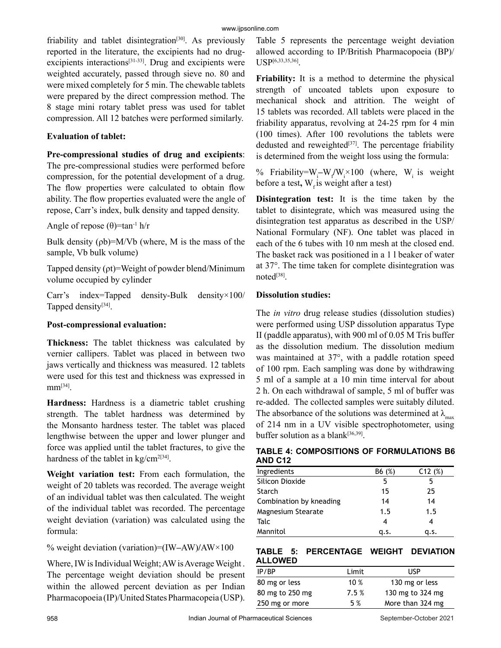friability and tablet disintegration<sup>[30]</sup>. As previously reported in the literature, the excipients had no drugexcipients interactions<sup>[31-33]</sup>. Drug and excipients were weighted accurately, passed through sieve no. 80 and were mixed completely for 5 min. The chewable tablets were prepared by the direct compression method. The 8 stage mini rotary tablet press was used for tablet compression. All 12 batches were performed similarly.

## **Evaluation of tablet:**

**Pre-compressional studies of drug and excipients**:

The pre-compressional studies were performed before compression, for the potential development of a drug. The flow properties were calculated to obtain flow ability. The flow properties evaluated were the angle of repose, Carr's index, bulk density and tapped density.

Angle of repose  $(\theta)$ =tan<sup>-1</sup> h/r

Bulk density  $(\rho b) = M/Vb$  (where, M is the mass of the sample, Vb bulk volume)

Tapped density (ρt)=Weight of powder blend/Minimum volume occupied by cylinder

Carr's index=Tapped density-Bulk density×100/ Tapped density<sup>[34]</sup>.

#### **Post-compressional evaluation:**

**Thickness:** The tablet thickness was calculated by vernier callipers. Tablet was placed in between two jaws vertically and thickness was measured. 12 tablets were used for this test and thickness was expressed in  $mm^{[34]}$ .

**Hardness:** Hardness is a diametric tablet crushing strength. The tablet hardness was determined by the Monsanto hardness tester. The tablet was placed lengthwise between the upper and lower plunger and force was applied until the tablet fractures, to give the hardness of the tablet in kg/cm<sup>2[34]</sup>.

**Weight variation test:** From each formulation, the weight of 20 tablets was recorded. The average weight of an individual tablet was then calculated. The weight of the individual tablet was recorded. The percentage weight deviation (variation) was calculated using the formula:

% weight deviation (variation)=(IW**–**AW)**/**AW×100

Where, IW is Individual Weight; AW is Average Weight . The percentage weight deviation should be present within the allowed percent deviation as per Indian Pharmacopoeia (IP)/United States Pharmacopeia (USP).

Table 5 represents the percentage weight deviation allowed according to IP/British Pharmacopoeia (BP)/ USP[6,33,35,36].

**Friability:** It is a method to determine the physical strength of uncoated tablets upon exposure to mechanical shock and attrition. The weight of 15 tablets was recorded. All tablets were placed in the friability apparatus, revolving at 24-25 rpm for 4 min (100 times). After 100 revolutions the tablets were dedusted and reweighted $[37]$ . The percentage friability is determined from the weight loss using the formula:

% Friability=W<sub>i</sub>-W<sub>i</sub>/W<sub>i</sub> × 100 (where, W<sub>i</sub> is weight before a test, W<sub>r</sub> is weight after a test)

**Disintegration test:** It is the time taken by the tablet to disintegrate, which was measured using the disintegration test apparatus as described in the USP/ National Formulary (NF). One tablet was placed in each of the 6 tubes with 10 nm mesh at the closed end. The basket rack was positioned in a 1 l beaker of water at 37°. The time taken for complete disintegration was noted<sup>[38]</sup>.

## **Dissolution studies:**

The *in vitro* drug release studies (dissolution studies) were performed using USP dissolution apparatus Type II (paddle apparatus), with 900 ml of 0.05 M Tris buffer as the dissolution medium. The dissolution medium was maintained at 37°, with a paddle rotation speed of 100 rpm. Each sampling was done by withdrawing 5 ml of a sample at a 10 min time interval for about 2 h. On each withdrawal of sample, 5 ml of buffer was re-added. The collected samples were suitably diluted. The absorbance of the solutions was determined at  $\lambda_{\text{max}}$ of 214 nm in a UV visible spectrophotometer, using buffer solution as a blank $[36,39]$ .

# **TABLE 4: COMPOSITIONS OF FORMULATIONS B6 AND C12**

| Ingredients             | B6 (%) | C12(%) |
|-------------------------|--------|--------|
| Silicon Dioxide         | 5      | 5      |
| Starch                  | 15     | 25     |
| Combination by kneading | 14     | 14     |
| Magnesium Stearate      | 1.5    | 1.5    |
| Talc                    | 4      | 4      |
| Mannitol                | q.s.   | a.s.   |

## **TABLE 5: PERCENTAGE WEIGHT DEVIATION ALLOWED**

| IP/BP           | Limit  | USP              |
|-----------------|--------|------------------|
| 80 mg or less   | 10 $%$ | 130 mg or less   |
| 80 mg to 250 mg | 7.5%   | 130 mg to 324 mg |
| 250 mg or more  | 5 %    | More than 324 mg |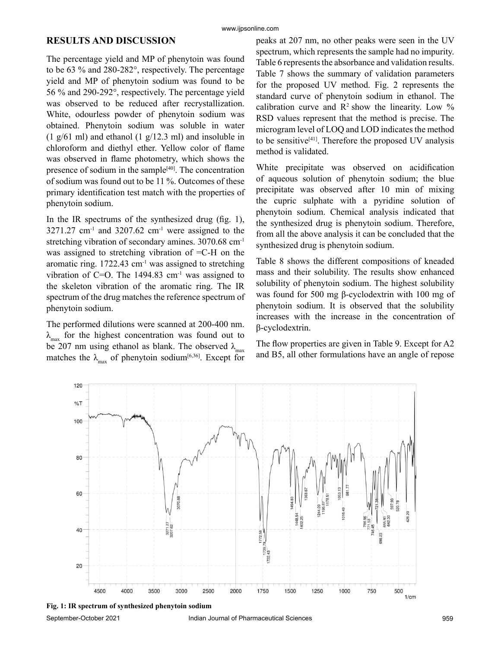#### www.ijpsonline.com

# **RESULTS AND DISCUSSION**

The percentage yield and MP of phenytoin was found to be 63 % and 280-282°, respectively. The percentage yield and MP of phenytoin sodium was found to be 56 % and 290-292°, respectively. The percentage yield was observed to be reduced after recrystallization. White, odourless powder of phenytoin sodium was obtained. Phenytoin sodium was soluble in water  $(1 \text{ g}/61 \text{ ml})$  and ethanol  $(1 \text{ g}/12.3 \text{ ml})$  and insoluble in chloroform and diethyl ether. Yellow color of flame was observed in flame photometry, which shows the presence of sodium in the sample $[40]$ . The concentration of sodium was found out to be 11 %. Outcomes of these primary identification test match with the properties of phenytoin sodium.

In the IR spectrums of the synthesized drug (fig. 1),  $3271.27$  cm<sup>-1</sup> and  $3207.62$  cm<sup>-1</sup> were assigned to the stretching vibration of secondary amines. 3070.68 cm-1 was assigned to stretching vibration of =C-H on the aromatic ring. 1722.43 cm-1 was assigned to stretching vibration of  $C=O$ . The 1494.83 cm<sup>-1</sup> was assigned to the skeleton vibration of the aromatic ring. The IR spectrum of the drug matches the reference spectrum of phenytoin sodium.

The performed dilutions were scanned at 200-400 nm.  $\lambda_{\text{max}}$  for the highest concentration was found out to be 207 nm using ethanol as blank. The observed  $\lambda_{\text{max}}$ matches the  $\lambda_{\text{max}}$  of phenytoin sodium<sup>[6,36]</sup>. Except for peaks at 207 nm, no other peaks were seen in the UV spectrum, which represents the sample had no impurity. Table 6 represents the absorbance and validation results. Table 7 shows the summary of validation parameters for the proposed UV method. Fig. 2 represents the standard curve of phenytoin sodium in ethanol. The calibration curve and  $\mathbb{R}^2$  show the linearity. Low % RSD values represent that the method is precise. The microgram level of LOQ and LOD indicates the method to be sensitive $[41]$ . Therefore the proposed UV analysis method is validated.

White precipitate was observed on acidification of aqueous solution of phenytoin sodium; the blue precipitate was observed after 10 min of mixing the cupric sulphate with a pyridine solution of phenytoin sodium. Chemical analysis indicated that the synthesized drug is phenytoin sodium. Therefore, from all the above analysis it can be concluded that the synthesized drug is phenytoin sodium.

Table 8 shows the different compositions of kneaded mass and their solubility. The results show enhanced solubility of phenytoin sodium. The highest solubility was found for 500 mg β-cyclodextrin with 100 mg of phenytoin sodium. It is observed that the solubility increases with the increase in the concentration of β-cyclodextrin.

The flow properties are given in Table 9. Except for A2 and B5, all other formulations have an angle of repose



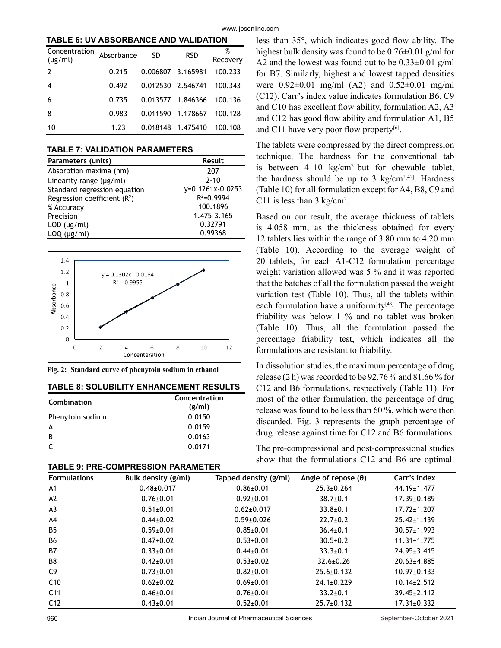**TABLE 6: UV ABSORBANCE AND VALIDATION**

| Concentration<br>$(\mu g/ml)$ | Absorbance | SD                | <b>RSD</b>        | %<br>Recovery |
|-------------------------------|------------|-------------------|-------------------|---------------|
| $\overline{2}$                | 0.215      | 0.006807 3.165981 |                   | 100.233       |
| 4                             | 0.492      | 0.012530 2.546741 |                   | 100.343       |
| 6                             | 0.735      |                   | 0.013577 1.846366 | 100.136       |
| 8                             | 0.983      |                   | 0.011590 1.178667 | 100.128       |
| 10                            | 1.23       |                   | 0.018148 1.475410 | 100.108       |

#### **TABLE 7: VALIDATION PARAMETERS**

| Parameters (units)             | Result           |
|--------------------------------|------------------|
| Absorption maxima (nm)         | 207              |
| Linearity range $(\mu g/ml)$   | $2 - 10$         |
| Standard regression equation   | y=0.1261x-0.0253 |
| Regression coefficient $(R^2)$ | $R^2 = 0.9994$   |
| % Accuracy                     | 100.1896         |
| Precision                      | 1.475-3.165      |
| $LOD$ ( $\mu$ g/ml)            | 0.32791          |
| $LOQ$ ( $\mu$ g/ml)            | 0.99368          |



**Fig. 2: Standard curve of phenytoin sodium in ethanol**

#### **TABLE 8: SOLUBILITY ENHANCEMENT RESULTS**

| Combination      | Concentration<br>(g/ml) |
|------------------|-------------------------|
| Phenytoin sodium | 0.0150                  |
| А                | 0.0159                  |
| B                | 0.0163                  |
|                  | 0.0171                  |

| <b>TABLE 9: PRE-COMPRESSION PARAMETER</b> |  |
|-------------------------------------------|--|
|-------------------------------------------|--|

less than 35°, which indicates good flow ability. The highest bulk density was found to be 0.76±0.01 g/ml for A2 and the lowest was found out to be 0.33±0.01 g/ml for B7. Similarly, highest and lowest tapped densities were 0.92±0.01 mg/ml (A2) and 0.52±0.01 mg/ml (C12). Carr's index value indicates formulation B6, C9 and C10 has excellent flow ability, formulation A2, A3 and C12 has good flow ability and formulation A1, B5 and C11 have very poor flow property $[6]$ .

The tablets were compressed by the direct compression technique. The hardness for the conventional tab is between 4–10 kg/cm2 but for chewable tablet, the hardness should be up to 3 kg/cm<sup>2[42]</sup>. Hardness (Table 10) for all formulation except for A4, B8, C9 and C11 is less than  $3 \text{ kg/cm}^2$ .

Based on our result, the average thickness of tablets is 4.058 mm, as the thickness obtained for every 12 tablets lies within the range of 3.80 mm to 4.20 mm (Table 10). According to the average weight of 20 tablets, for each A1-C12 formulation percentage weight variation allowed was 5 % and it was reported that the batches of all the formulation passed the weight variation test (Table 10). Thus, all the tablets within each formulation have a uniformity $[43]$ . The percentage friability was below 1 % and no tablet was broken (Table 10). Thus, all the formulation passed the percentage friability test, which indicates all the formulations are resistant to friability.

In dissolution studies, the maximum percentage of drug release (2 h) was recorded to be 92.76 % and 81.66 % for C12 and B6 formulations, respectively (Table 11). For most of the other formulation, the percentage of drug release was found to be less than 60 %, which were then discarded. Fig. 3 represents the graph percentage of drug release against time for C12 and B6 formulations.

The pre-compressional and post-compressional studies show that the formulations C12 and B6 are optimal.

|                     | IADLL 9. I INL-VOIIII INLOUIVIN I AINAIIIL I LIN |                       |                            |                   |  |  |
|---------------------|--------------------------------------------------|-----------------------|----------------------------|-------------------|--|--|
| <b>Formulations</b> | Bulk density (g/ml)                              | Tapped density (g/ml) | Angle of repose $(\theta)$ | Carr's index      |  |  |
| A1                  | $0.48 \pm 0.017$                                 | $0.86 \pm 0.01$       | $25.3 \pm 0.264$           | 44.19±1.477       |  |  |
| A2                  | $0.76 \pm 0.01$                                  | $0.92 \pm 0.01$       | $38.7{\pm}0.1$             | $17.39 \pm 0.189$ |  |  |
| A <sub>3</sub>      | $0.51 \pm 0.01$                                  | $0.62 \pm 0.017$      | $33.8 + 0.1$               | $17.72 \pm 1.207$ |  |  |
| A4                  | $0.44 \pm 0.02$                                  | $0.59 \pm 0.026$      | $22.7 \pm 0.2$             | $25.42 \pm 1.139$ |  |  |
| B <sub>5</sub>      | $0.59 \pm 0.01$                                  | $0.85 \pm 0.01$       | $36.4{\pm}0.1$             | $30.57 \pm 1.993$ |  |  |
| <b>B6</b>           | $0.47{\pm}0.02$                                  | $0.53 + 0.01$         | $30.5 \pm 0.2$             | $11.31 \pm 1.775$ |  |  |
| B7                  | $0.33 \pm 0.01$                                  | $0.44 \pm 0.01$       | $33.3 \pm 0.1$             | $24.95 \pm 3.415$ |  |  |
| B8                  | $0.42{\pm}0.01$                                  | $0.53 \pm 0.02$       | $32.6 \pm 0.26$            | $20.63 \pm 4.885$ |  |  |
| C9                  | $0.73 \pm 0.01$                                  | $0.82{\pm}0.01$       | $25.6 \pm 0.132$           | $10.97 \pm 0.133$ |  |  |
| C10                 | $0.62 \pm 0.02$                                  | $0.69 \pm 0.01$       | $24.1 \pm 0.229$           | $10.14 \pm 2.512$ |  |  |
| C <sub>11</sub>     | $0.46 \pm 0.01$                                  | $0.76 \pm 0.01$       | $33.2 \pm 0.1$             | $39.45 \pm 2.112$ |  |  |
| C <sub>12</sub>     | $0.43 \pm 0.01$                                  | $0.52 + 0.01$         | $25.7+0.132$               | $17.31 \pm 0.332$ |  |  |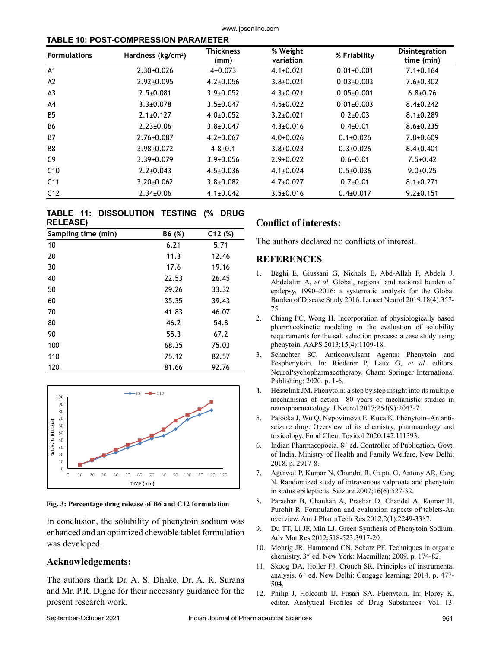www.ijpsonline.com

#### **TABLE 10: POST-COMPRESSION PARAMETER**

| <b>Formulations</b> | Hardness (kg/cm <sup>2</sup> ) | <b>Thickness</b><br>(mm) | % Weight<br>variation | % Friability     | Disintegration<br>time (min) |
|---------------------|--------------------------------|--------------------------|-----------------------|------------------|------------------------------|
| A <sub>1</sub>      | $2.30 \pm 0.026$               | $4\pm 0.073$             | $4.1 \pm 0.021$       | $0.01 \pm 0.001$ | $7.1 \pm 0.164$              |
| A2                  | $2.92 \pm 0.095$               | $4.2 \pm 0.056$          | $3.8 + 0.021$         | $0.03 \pm 0.003$ | $7.6 + 0.302$                |
| A <sub>3</sub>      | $2.5 \pm 0.081$                | $3.9 + 0.052$            | $4.3 + 0.021$         | $0.05 \pm 0.001$ | $6.8{\pm}0.26$               |
| A4                  | $3.3 + 0.078$                  | $3.5 + 0.047$            | $4.5 \pm 0.022$       | $0.01 \pm 0.003$ | $8.4 \pm 0.242$              |
| <b>B5</b>           | $2.1 \pm 0.127$                | $4.0+0.052$              | $3.2 + 0.021$         | $0.2 + 0.03$     | $8.1 \pm 0.289$              |
| <b>B6</b>           | $2.23 \pm 0.06$                | $3.8 + 0.047$            | $4.3 \pm 0.016$       | $0.4 + 0.01$     | $8.6 \pm 0.235$              |
| <b>B7</b>           | $2.76 \pm 0.087$               | $4.2 + 0.067$            | $4.0+0.026$           | $0.1 + 0.026$    | $7.8 + 0.609$                |
| B8                  | $3.98 \pm 0.072$               | $4.8 + 0.1$              | $3.8 + 0.023$         | $0.3 + 0.026$    | $8.4 \pm 0.401$              |
| C <sub>9</sub>      | $3.39 \pm 0.079$               | $3.9 + 0.056$            | $2.9 + 0.022$         | $0.6 + 0.01$     | $7.5 \pm 0.42$               |
| C <sub>10</sub>     | $2.2 \pm 0.043$                | $4.5 \pm 0.036$          | $4.1 \pm 0.024$       | $0.5+0.036$      | $9.0+0.25$                   |
| C <sub>11</sub>     | $3.20 \pm 0.062$               | $3.8 + 0.082$            | $4.7 \pm 0.027$       | $0.7+0.01$       | $8.1 \pm 0.271$              |
| C <sub>12</sub>     | $2.34 \pm 0.06$                | $4.1 \pm 0.042$          | $3.5 \pm 0.016$       | $0.4 \pm 0.017$  | $9.2 \pm 0.151$              |

#### **TABLE 11: DISSOLUTION TESTING (% DRUG RELEASE)**

| Sampling time (min) | B6 (%) | C12(%) |
|---------------------|--------|--------|
| 10                  | 6.21   | 5.71   |
| 20                  | 11.3   | 12.46  |
| 30                  | 17.6   | 19.16  |
| 40                  | 22.53  | 26.45  |
| 50                  | 29.26  | 33.32  |
| 60                  | 35.35  | 39.43  |
| 70                  | 41.83  | 46.07  |
| 80                  | 46.2   | 54.8   |
| 90                  | 55.3   | 67.2   |
| 100                 | 68.35  | 75.03  |
| 110                 | 75.12  | 82.57  |
| 120                 | 81.66  | 92.76  |



#### **Fig. 3: Percentage drug release of B6 and C12 formulation**

In conclusion, the solubility of phenytoin sodium was enhanced and an optimized chewable tablet formulation was developed.

# **Acknowledgements:**

The authors thank Dr. A. S. Dhake, Dr. A. R. Surana and Mr. P.R. Dighe for their necessary guidance for the present research work.

# **Conflict of interests:**

The authors declared no conflicts of interest.

# **REFERENCES**

- 1. Beghi E, Giussani G, Nichols E, Abd-Allah F, Abdela J, Abdelalim A, *et al.* Global, regional and national burden of epilepsy, 1990–2016: a systematic analysis for the Global Burden of Disease Study 2016. Lancet Neurol 2019;18(4):357- 75.
- 2. Chiang PC, Wong H. Incorporation of physiologically based pharmacokinetic modeling in the evaluation of solubility requirements for the salt selection process: a case study using phenytoin. AAPS 2013;15(4):1109-18.
- 3. Schachter SC. Anticonvulsant Agents: Phenytoin and Fosphenytoin. In: Riederer P, Laux G, *et al.* editors. NeuroPsychopharmacotherapy. Cham: Springer International Publishing; 2020. p. 1-6.
- 4. Hesselink JM. Phenytoin: a step by step insight into its multiple mechanisms of action—80 years of mechanistic studies in neuropharmacology. J Neurol 2017;264(9):2043-7.
- 5. Patocka J, Wu Q, Nepovimova E, Kuca K. Phenytoin–An antiseizure drug: Overview of its chemistry, pharmacology and toxicology. Food Chem Toxicol 2020;142:111393.
- 6. Indian Pharmacopoeia. 8<sup>th</sup> ed. Controller of Publication, Govt. of India, Ministry of Health and Family Welfare, New Delhi; 2018. p. 2917-8.
- 7. Agarwal P, Kumar N, Chandra R, Gupta G, Antony AR, Garg N. Randomized study of intravenous valproate and phenytoin in status epilepticus. Seizure 2007;16(6):527-32.
- 8. Parashar B, Chauhan A, Prashar D, Chandel A, Kumar H, Purohit R. Formulation and evaluation aspects of tablets-An overview. Am J PharmTech Res 2012;2(1):2249-3387.
- 9. Du TT, Li JF, Min LJ. Green Synthesis of Phenytoin Sodium. Adv Mat Res 2012;518-523:3917-20.
- 10. Mohrig JR, Hammond CN, Schatz PF. Techniques in organic chemistry. 3rd ed. New York: Macmillan; 2009. p. 174-82.
- 11. Skoog DA, Holler FJ, Crouch SR. Principles of instrumental analysis. 6<sup>th</sup> ed. New Delhi: Cengage learning; 2014. p. 477-504.
- 12. Philip J, Holcomb IJ, Fusari SA. Phenytoin. In: Florey K, editor. Analytical Profiles of Drug Substances. Vol. 13: